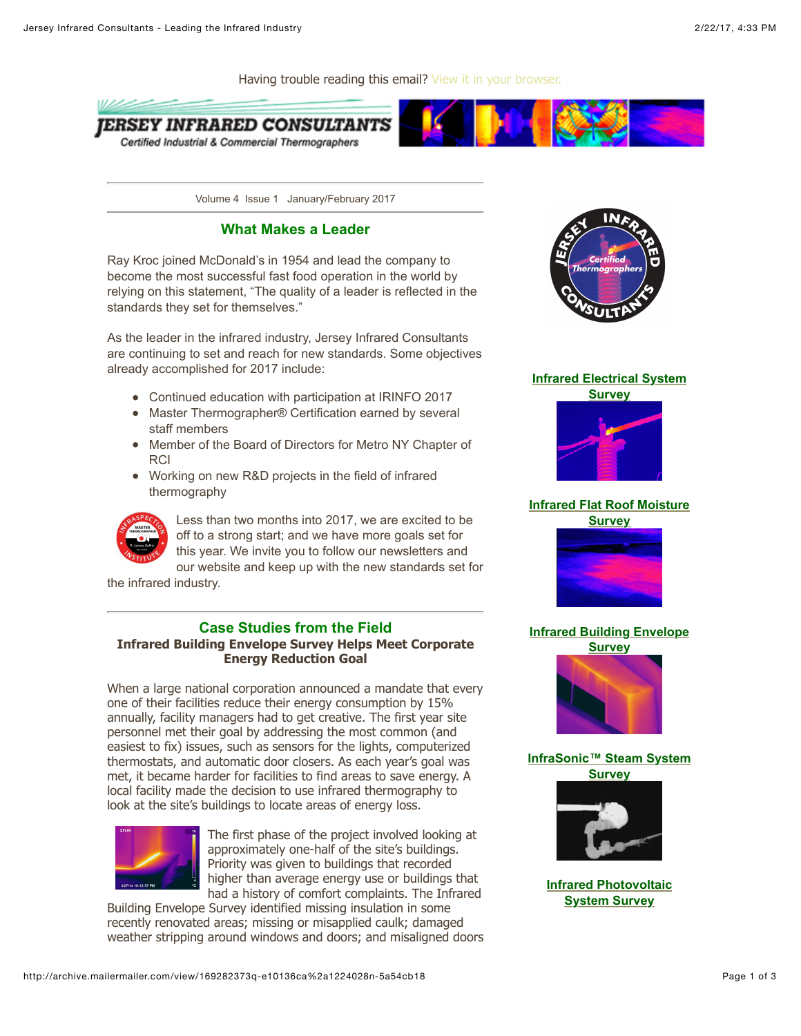

Volume 4 Issue 1 January/February 2017

## **What Makes a Leader**

Ray Kroc joined McDonald's in 1954 and lead the company to become the most successful fast food operation in the world by relying on this statement, "The quality of a leader is reflected in the standards they set for themselves."

As the leader in the infrared industry, Jersey Infrared Consultants are continuing to set and reach for new standards. Some objectives already accomplished for 2017 include:

- Continued education with participation at IRINFO 2017
- Master Thermographer® Certification earned by several staff members
- Member of the Board of Directors for Metro NY Chapter of RCI
- Working on new R&D projects in the field of infrared thermography



Less than two months into 2017, we are excited to be off to a strong start; and we have more goals set for this year. We invite you to follow our newsletters and our website and keep up with the new standards set for

the infrared industry.

## **Case Studies from the Field**

## **Infrared Building Envelope Survey Helps Meet Corporate Energy Reduction Goal**

When a large national corporation announced a mandate that every one of their facilities reduce their energy consumption by 15% annually, facility managers had to get creative. The first year site personnel met their goal by addressing the most common (and easiest to fix) issues, such as sensors for the lights, computerized thermostats, and automatic door closers. As each year's goal was met, it became harder for facilities to find areas to save energy. A local facility made the decision to use infrared thermography to look at the site's buildings to locate areas of energy loss.



The first phase of the project involved looking at approximately one-half of the site's buildings. Priority was given to buildings that recorded higher than average energy use or buildings that had a history of comfort complaints. The Infrared

Building Envelope Survey identified missing insulation in some recently renovated areas; missing or misapplied caulk; damaged weather stripping around windows and doors; and misaligned doors



## **[Infrared Electrical System](http://m1e.net/c?169282373-QFAu6Kn8Y5XdE%40389312882-a7B097MztDx9Q)**



# **[Infrared Flat Roof Moisture](http://m1e.net/c?169282373-HrsIwDPUGZC4g%40389312883-tX0.znJuHWgoY)**





## **[Infrared Building Envelope](http://m1e.net/c?169282373-c6avA8ka9sVLM%40389312887-4sTpqxYETpstM)**



#### **[InfraSonic™ Steam System](http://m1e.net/c?169282373-6fBT7s/FrAnks%40389312890-Y20U2mYoF2fso) Survey**



**[Infrared Photovoltaic](http://m1e.net/c?169282373-KnDoZao0DPL0k%40389312895-JeYMJja.4vhSY) System Survey**